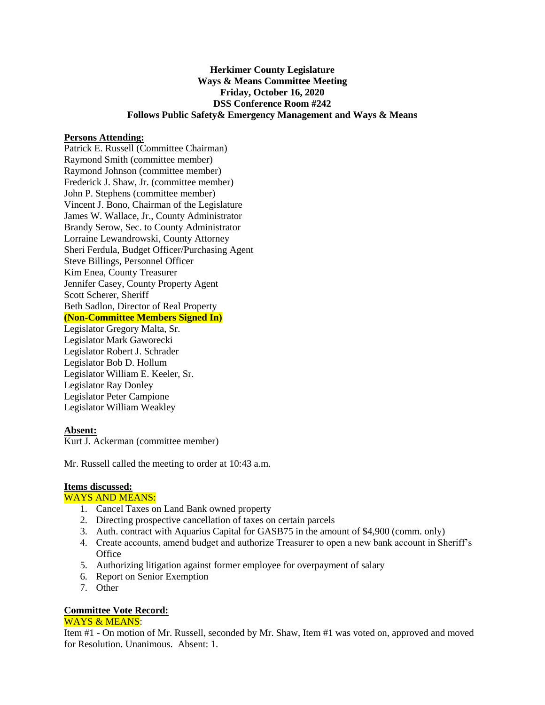### **Herkimer County Legislature Ways & Means Committee Meeting Friday, October 16, 2020 DSS Conference Room #242 Follows Public Safety& Emergency Management and Ways & Means**

#### **Persons Attending:**

Patrick E. Russell (Committee Chairman) Raymond Smith (committee member) Raymond Johnson (committee member) Frederick J. Shaw, Jr. (committee member) John P. Stephens (committee member) Vincent J. Bono, Chairman of the Legislature James W. Wallace, Jr., County Administrator Brandy Serow, Sec. to County Administrator Lorraine Lewandrowski, County Attorney Sheri Ferdula, Budget Officer/Purchasing Agent Steve Billings, Personnel Officer Kim Enea, County Treasurer Jennifer Casey, County Property Agent Scott Scherer, Sheriff Beth Sadlon, Director of Real Property **(Non-Committee Members Signed In)** Legislator Gregory Malta, Sr. Legislator Mark Gaworecki Legislator Robert J. Schrader Legislator Bob D. Hollum Legislator William E. Keeler, Sr. Legislator Ray Donley

## **Absent:**

Kurt J. Ackerman (committee member)

Mr. Russell called the meeting to order at 10:43 a.m.

# **Items discussed:**

### WAYS AND MEANS:

Legislator Peter Campione Legislator William Weakley

- 1. Cancel Taxes on Land Bank owned property
- 2. Directing prospective cancellation of taxes on certain parcels
- 3. Auth. contract with Aquarius Capital for GASB75 in the amount of \$4,900 (comm. only)
- 4. Create accounts, amend budget and authorize Treasurer to open a new bank account in Sheriff's **Office**
- 5. Authorizing litigation against former employee for overpayment of salary
- 6. Report on Senior Exemption
- 7. Other

## **Committee Vote Record:**

### WAYS & MEANS:

Item #1 - On motion of Mr. Russell, seconded by Mr. Shaw, Item #1 was voted on, approved and moved for Resolution. Unanimous. Absent: 1.